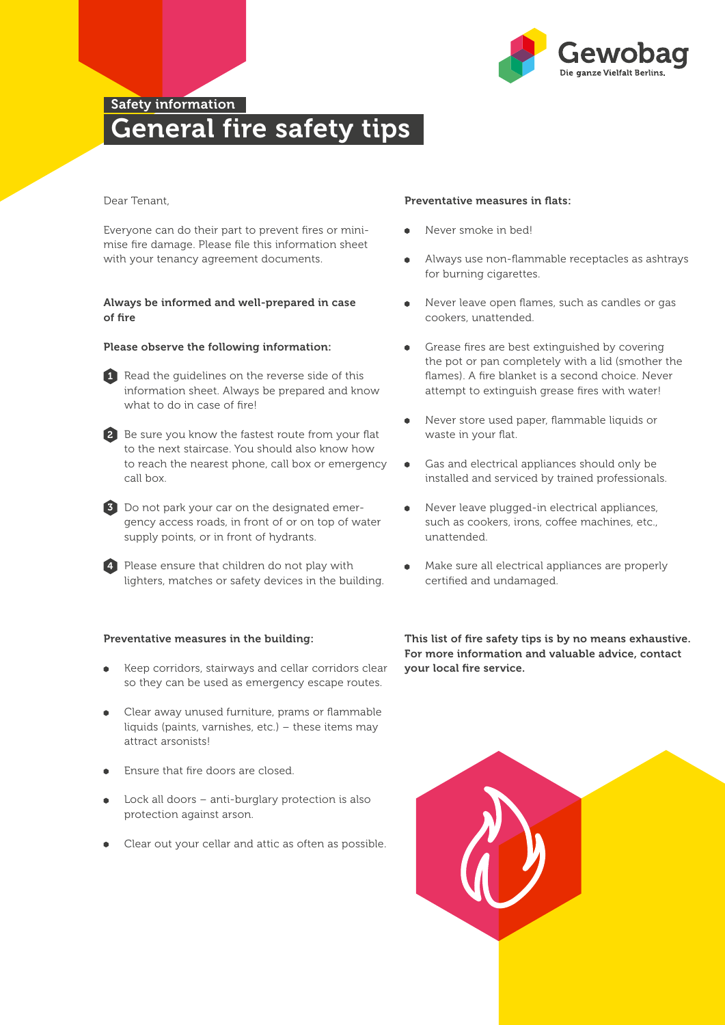

## Safety information General fire safety tips

### Dear Tenant,

Everyone can do their part to prevent fires or minimise fire damage. Please file this information sheet with your tenancy agreement documents.

### Always be informed and well-prepared in case of fire

#### Please observe the following information:

1 Read the quidelines on the reverse side of this information sheet. Always be prepared and know what to do in case of fire!

2 Be sure you know the fastest route from your flat to the next staircase. You should also know how to reach the nearest phone, call box or emergency call box.

3 Do not park your car on the designated emergency access roads, in front of or on top of water supply points, or in front of hydrants.

4 Please ensure that children do not play with lighters, matches or safety devices in the building.

### Preventative measures in the building:

- Keep corridors, stairways and cellar corridors clear so they can be used as emergency escape routes.
- Clear away unused furniture, prams or flammable liquids (paints, varnishes, etc.) - these items may attract arsonists!
- Ensure that fire doors are closed.
- Lock all doors  $-$  anti-burglary protection is also protection against arson.
- Clear out your cellar and attic as often as possible.

#### Preventative measures in flats:

- Never smoke in bed!
- Always use non-flammable receptacles as ashtrays for burning cigarettes.
- Never leave open flames, such as candles or gas cookers, unattended.
- Grease fires are best extinguished by covering the pot or pan completely with a lid (smother the flames). A fire blanket is a second choice. Never attempt to extinguish grease fires with water!
- Never store used paper, flammable liquids or waste in your flat.
- Gas and electrical appliances should only be installed and serviced by trained professionals.
- Never leave plugged-in electrical appliances, such as cookers, irons, coffee machines, etc., unattended.
- Make sure all electrical appliances are properly certified and undamaged.

This list of fire safety tips is by no means exhaustive. For more information and valuable advice, contact your local fire service.